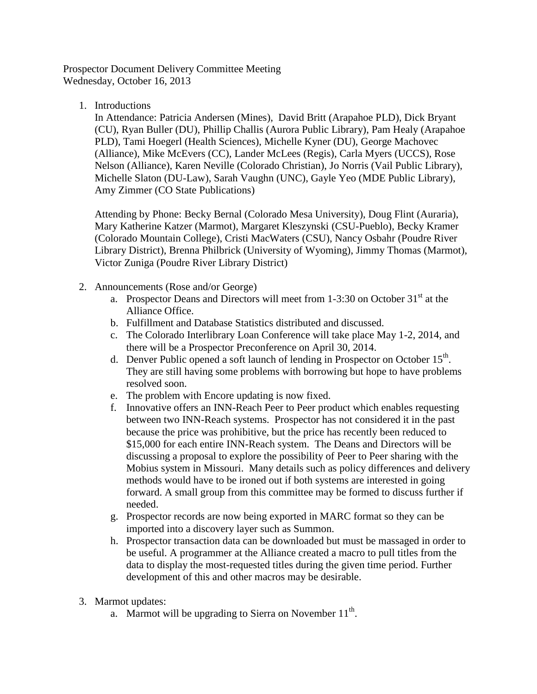Prospector Document Delivery Committee Meeting Wednesday, October 16, 2013

1. Introductions

In Attendance: Patricia Andersen (Mines), David Britt (Arapahoe PLD), Dick Bryant (CU), Ryan Buller (DU), Phillip Challis (Aurora Public Library), Pam Healy (Arapahoe PLD), Tami Hoegerl (Health Sciences), Michelle Kyner (DU), George Machovec (Alliance), Mike McEvers (CC), Lander McLees (Regis), Carla Myers (UCCS), Rose Nelson (Alliance), Karen Neville (Colorado Christian), Jo Norris (Vail Public Library), Michelle Slaton (DU-Law), Sarah Vaughn (UNC), Gayle Yeo (MDE Public Library), Amy Zimmer (CO State Publications)

Attending by Phone: Becky Bernal (Colorado Mesa University), Doug Flint (Auraria), Mary Katherine Katzer (Marmot), Margaret Kleszynski (CSU-Pueblo), Becky Kramer (Colorado Mountain College), Cristi MacWaters (CSU), Nancy Osbahr (Poudre River Library District), Brenna Philbrick (University of Wyoming), Jimmy Thomas (Marmot), Victor Zuniga (Poudre River Library District)

- 2. Announcements (Rose and/or George)
	- a. Prospector Deans and Directors will meet from  $1-3:30$  on October  $31<sup>st</sup>$  at the Alliance Office.
	- b. Fulfillment and Database Statistics distributed and discussed.
	- c. The Colorado Interlibrary Loan Conference will take place May 1-2, 2014, and there will be a Prospector Preconference on April 30, 2014.
	- d. Denver Public opened a soft launch of lending in Prospector on October  $15<sup>th</sup>$ . They are still having some problems with borrowing but hope to have problems resolved soon.
	- e. The problem with Encore updating is now fixed.
	- f. Innovative offers an INN-Reach Peer to Peer product which enables requesting between two INN-Reach systems. Prospector has not considered it in the past because the price was prohibitive, but the price has recently been reduced to \$15,000 for each entire INN-Reach system. The Deans and Directors will be discussing a proposal to explore the possibility of Peer to Peer sharing with the Mobius system in Missouri. Many details such as policy differences and delivery methods would have to be ironed out if both systems are interested in going forward. A small group from this committee may be formed to discuss further if needed.
	- g. Prospector records are now being exported in MARC format so they can be imported into a discovery layer such as Summon.
	- h. Prospector transaction data can be downloaded but must be massaged in order to be useful. A programmer at the Alliance created a macro to pull titles from the data to display the most-requested titles during the given time period. Further development of this and other macros may be desirable.
- 3. Marmot updates:
	- a. Marmot will be upgrading to Sierra on November  $11<sup>th</sup>$ .